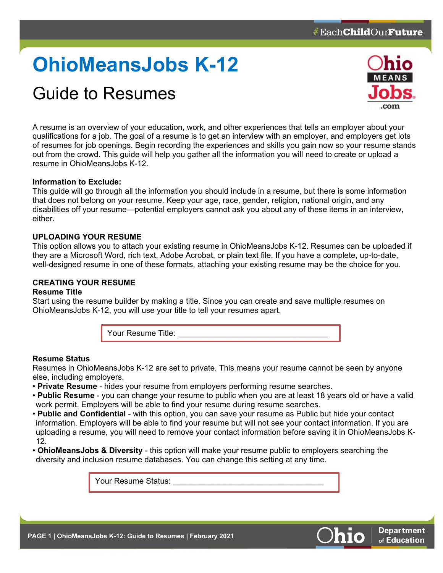# **OhioMeansJobs K-12**

# Guide to Resumes



**Department** of Education

A resume is an overview of your education, work, and other experiences that tells an employer about your qualifications for a job. The goal of a resume is to get an interview with an employer, and employers get lots of resumes for job openings. Begin recording the experiences and skills you gain now so your resume stands out from the crowd. This guide will help you gather all the information you will need to create or upload a resume in OhioMeansJobs K-12.

# **Information to Exclude:**

This guide will go through all the information you should include in a resume, but there is some information that does not belong on your resume. Keep your age, race, gender, religion, national origin, and any disabilities off your resume—potential employers cannot ask you about any of these items in an interview, either.

# **UPLOADING YOUR RESUME**

This option allows you to attach your existing resume in OhioMeansJobs K-12. Resumes can be uploaded if they are a Microsoft Word, rich text, Adobe Acrobat, or plain text file. If you have a complete, up-to-date, well-designed resume in one of these formats, attaching your existing resume may be the choice for you.

# **CREATING YOUR RESUME**

## **Resume Title**

Start using the resume builder by making a title. Since you can create and save multiple resumes on OhioMeansJobs K-12, you will use your title to tell your resumes apart.



# **Resume Status**

Resumes in OhioMeansJobs K-12 are set to private. This means your resume cannot be seen by anyone else, including employers.

- **Private Resume** hides your resume from employers performing resume searches.
- **Public Resume** you can change your resume to public when you are at least 18 years old or have a valid work permit. Employers will be able to find your resume during resume searches.
- **Public and Confidential** with this option, you can save your resume as Public but hide your contact information. Employers will be able to find your resume but will not see your contact information. If you are uploading a resume, you will need to remove your contact information before saving it in OhioMeansJobs K-12.
- **OhioMeansJobs & Diversity** this option will make your resume public to employers searching the diversity and inclusion resume databases. You can change this setting at any time.

Your Resume Status:

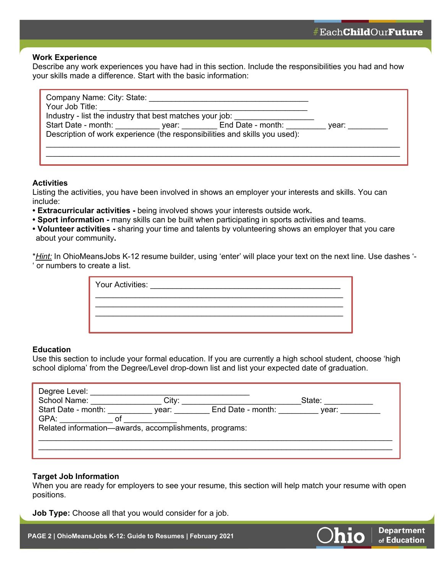**Department** of Education

#### **Work Experience**

Describe any work experiences you have had in this section. Include the responsibilities you had and how your skills made a difference. Start with the basic information:

| Company Name: City: State:                                                      |  |           |
|---------------------------------------------------------------------------------|--|-----------|
| Your Job Title:                                                                 |  |           |
| Industry - list the industry that best matches your job:                        |  |           |
| Start Date - month: _____________ year: __________ End Date - month: __________ |  | vear: ___ |
| Description of work experience (the responsibilities and skills you used):      |  |           |
|                                                                                 |  |           |
|                                                                                 |  |           |
|                                                                                 |  |           |

## **Activities**

Listing the activities, you have been involved in shows an employer your interests and skills. You can include:

- **Extracurricular activities -** being involved shows your interests outside work**.**
- **Sport information -** many skills can be built when participating in sports activities and teams.
- **Volunteer activities -** sharing your time and talents by volunteering shows an employer that you care about your community**.**

\**Hint:* In OhioMeansJobs K-12 resume builder, using 'enter' will place your text on the next line. Use dashes '- ' or numbers to create a list.

| Your Activities: |  |  |  |
|------------------|--|--|--|
|                  |  |  |  |
|                  |  |  |  |

#### **Education**

Use this section to include your formal education. If you are currently a high school student, choose 'high school diploma' from the Degree/Level drop-down list and list your expected date of graduation.

| Degree Level:<br>School Name:                          | City: |                   | State: |  |
|--------------------------------------------------------|-------|-------------------|--------|--|
| Start Date - month:                                    | year: | End Date - month: | vear:  |  |
| GPA:                                                   |       |                   |        |  |
| Related information-awards, accomplishments, programs: |       |                   |        |  |
|                                                        |       |                   |        |  |
|                                                        |       |                   |        |  |
|                                                        |       |                   |        |  |

## **Target Job Information**

When you are ready for employers to see your resume, this section will help match your resume with open positions.

**Job Type:** Choose all that you would consider for a job.

**PAGE 2 | OhioMeansJobs K-12: Guide to Resumes | February 2021**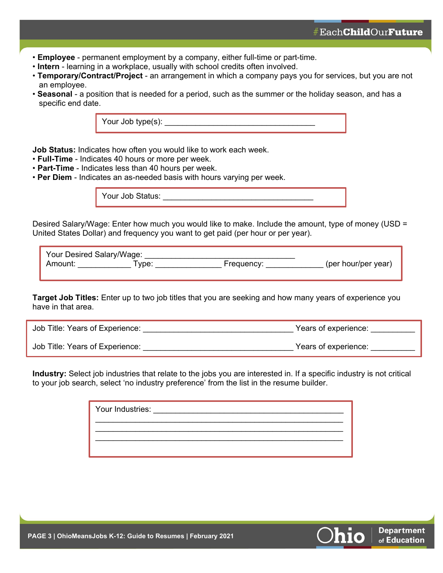**Department** of Education

- **Employee** permanent employment by a company, either full-time or part-time.
- **Intern** learning in a workplace, usually with school credits often involved.
- **Temporary/Contract/Project** an arrangement in which a company pays you for services, but you are not an employee.
- **Seasonal** a position that is needed for a period, such as the summer or the holiday season, and has a specific end date.

Your Job type(s):

**Job Status:** Indicates how often you would like to work each week.

- **Full-Time** Indicates 40 hours or more per week.
- **Part-Time** Indicates less than 40 hours per week.
- **Per Diem** Indicates an as-needed basis with hours varying per week.

Your Job Status: **We are also verifying** 

Desired Salary/Wage: Enter how much you would like to make. Include the amount, type of money (USD = United States Dollar) and frequency you want to get paid (per hour or per year).

|         | Your Desired Salary/Wage: |            |                     |
|---------|---------------------------|------------|---------------------|
| Amount: | vpe.                      | Frequency: | (per hour/per year) |

**Target Job Titles:** Enter up to two job titles that you are seeking and how many years of experience you have in that area.

| Job Title: Years of Experience: | Years of experience: |
|---------------------------------|----------------------|
|---------------------------------|----------------------|

Job Title: Years of Experience: <br>
years of experience: <br>
years of experience:

**Industry:** Select job industries that relate to the jobs you are interested in. If a specific industry is not critical to your job search, select 'no industry preference' from the list in the resume builder.

| Your Industries: | <u> 1980 - Jan Stein Stein Stein Stein Stein Stein Stein Stein Stein Stein Stein Stein Stein Stein Stein Stein S</u> |  |
|------------------|----------------------------------------------------------------------------------------------------------------------|--|
|                  |                                                                                                                      |  |
|                  |                                                                                                                      |  |
|                  |                                                                                                                      |  |